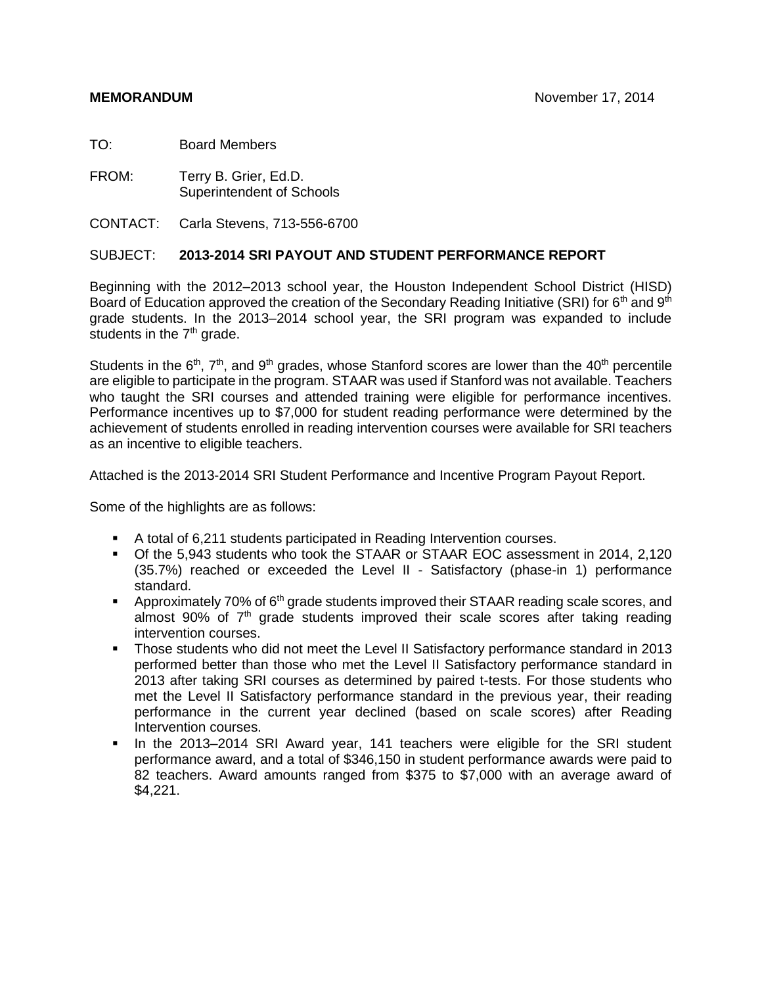TO: Board Members

FROM: Terry B. Grier, Ed.D. Superintendent of Schools

CONTACT: Carla Stevens, 713-556-6700

#### SUBJECT: **2013-2014 SRI PAYOUT AND STUDENT PERFORMANCE REPORT**

Beginning with the 2012–2013 school year, the Houston Independent School District (HISD) Board of Education approved the creation of the Secondary Reading Initiative (SRI) for 6<sup>th</sup> and 9<sup>th</sup> grade students. In the 2013–2014 school year, the SRI program was expanded to include students in the  $7<sup>th</sup>$  grade.

Students in the  $6<sup>th</sup>$ ,  $7<sup>th</sup>$ , and  $9<sup>th</sup>$  grades, whose Stanford scores are lower than the 40<sup>th</sup> percentile are eligible to participate in the program. STAAR was used if Stanford was not available. Teachers who taught the SRI courses and attended training were eligible for performance incentives. Performance incentives up to \$7,000 for student reading performance were determined by the achievement of students enrolled in reading intervention courses were available for SRI teachers as an incentive to eligible teachers.

Attached is the 2013-2014 SRI Student Performance and Incentive Program Payout Report.

Some of the highlights are as follows:

- A total of 6,211 students participated in Reading Intervention courses.
- Of the 5,943 students who took the STAAR or STAAR EOC assessment in 2014, 2,120 (35.7%) reached or exceeded the Level II - Satisfactory (phase-in 1) performance standard.
- **Approximately 70% of 6<sup>th</sup> grade students improved their STAAR reading scale scores, and** almost 90% of  $7<sup>th</sup>$  grade students improved their scale scores after taking reading intervention courses.
- Those students who did not meet the Level II Satisfactory performance standard in 2013 performed better than those who met the Level II Satisfactory performance standard in 2013 after taking SRI courses as determined by paired t-tests. For those students who met the Level II Satisfactory performance standard in the previous year, their reading performance in the current year declined (based on scale scores) after Reading Intervention courses.
- In the 2013–2014 SRI Award year, 141 teachers were eligible for the SRI student performance award, and a total of \$346,150 in student performance awards were paid to 82 teachers. Award amounts ranged from \$375 to \$7,000 with an average award of \$4,221.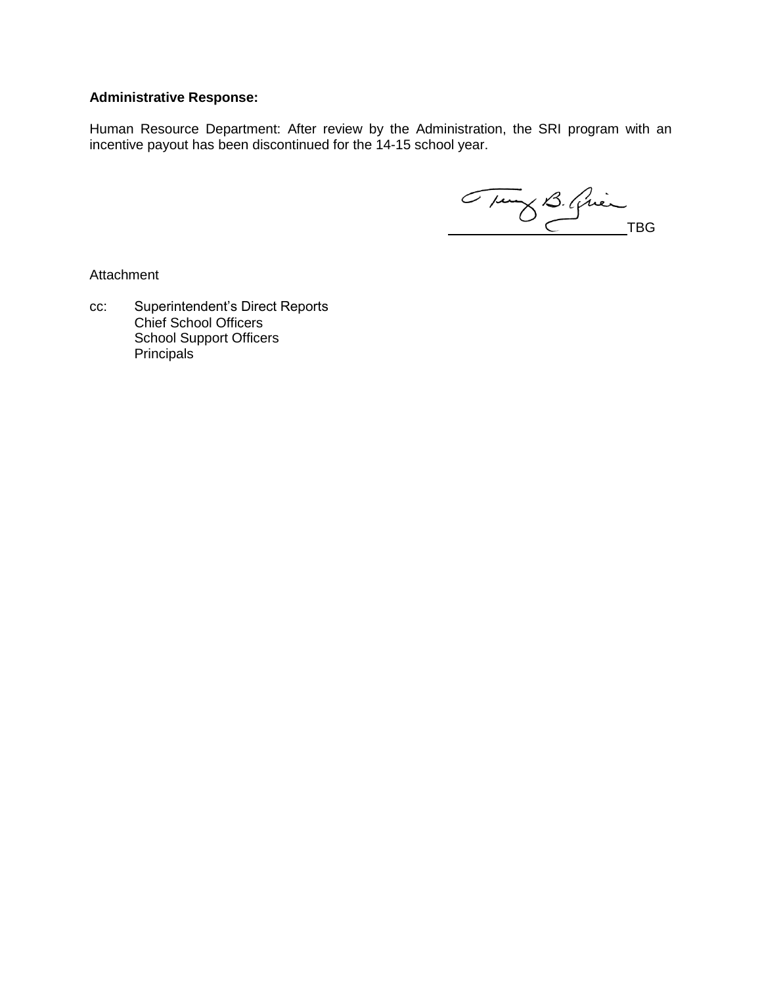#### **Administrative Response:**

Human Resource Department: After review by the Administration, the SRI program with an incentive payout has been discontinued for the 14-15 school year.

Tung B. Guin

**Attachment** 

cc: Superintendent's Direct Reports Chief School Officers School Support Officers **Principals**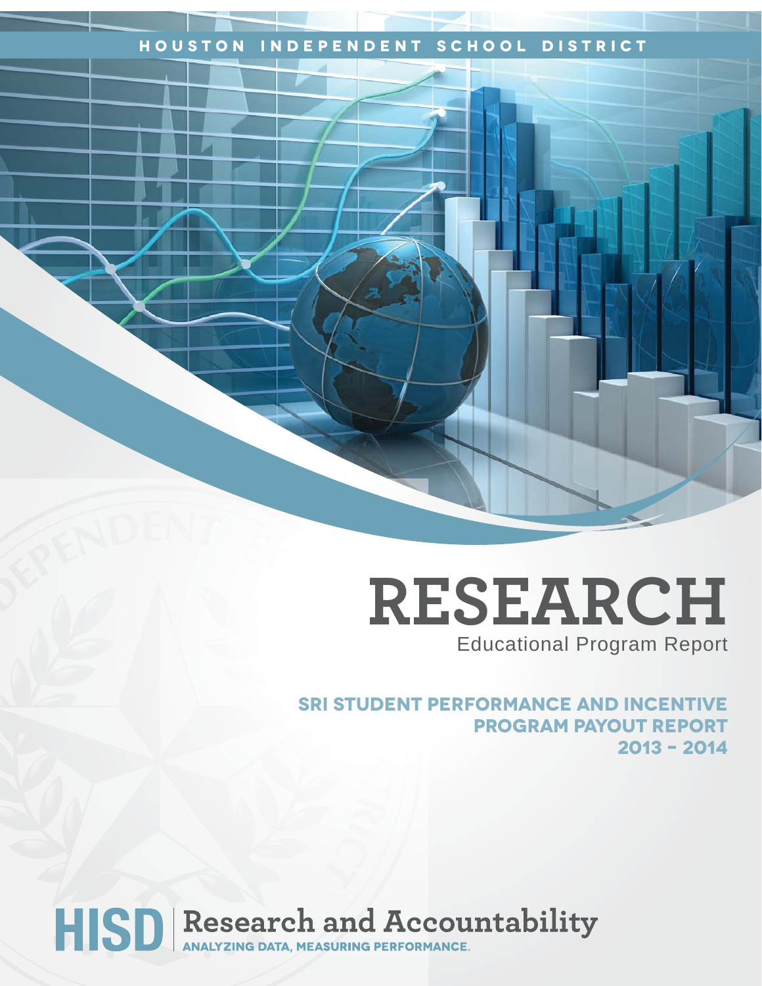#### **Houston Independent School District**

## **RESEARCH** Educational Program Report

**SRI Student Performance and Incentive Program Payout Report 2013 – 2014** 

# HISD Research and Accountability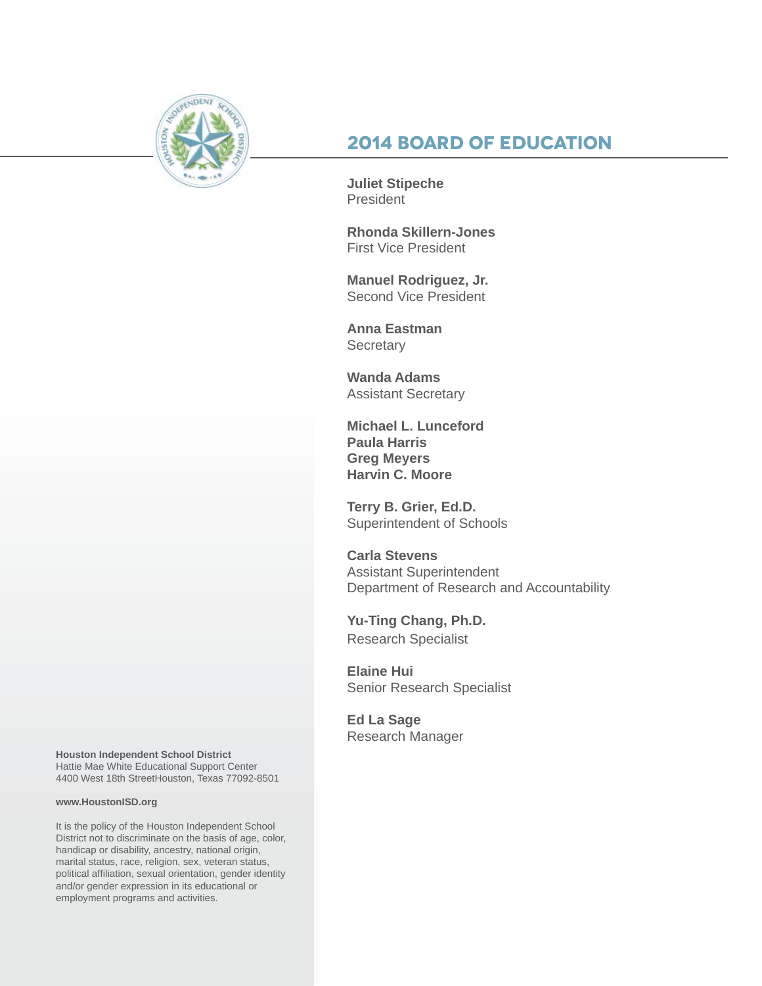

#### **2014 Board of Education**

**Juliet Stipeche President** 

**Rhonda Skillern-Jones** First Vice President

**Manuel Rodriguez, Jr.** Second Vice President

**Anna Eastman Secretary** 

**Wanda Adams** Assistant Secretary

**Michael L. Lunceford Paula Harris Greg Meyers Harvin C. Moore**

**Terry B. Grier, Ed.D.** Superintendent of Schools

**Carla Stevens** Assistant Superintendent Department of Research and Accountability

**Yu-Ting Chang, Ph.D.** Research Specialist

**Elaine Hui** Senior Research Specialist

**Ed La Sage** Research Manager

**Houston Independent School District** Hattie Mae White Educational Support Center 4400 West 18th StreetHouston, Texas 77092-8501

#### **www.HoustonISD.org**

It is the policy of the Houston Independent School District not to discriminate on the basis of age, color, handicap or disability, ancestry, national origin, marital status, race, religion, sex, veteran status, political affiliation, sexual orientation, gender identity and/or gender expression in its educational or employment programs and activities.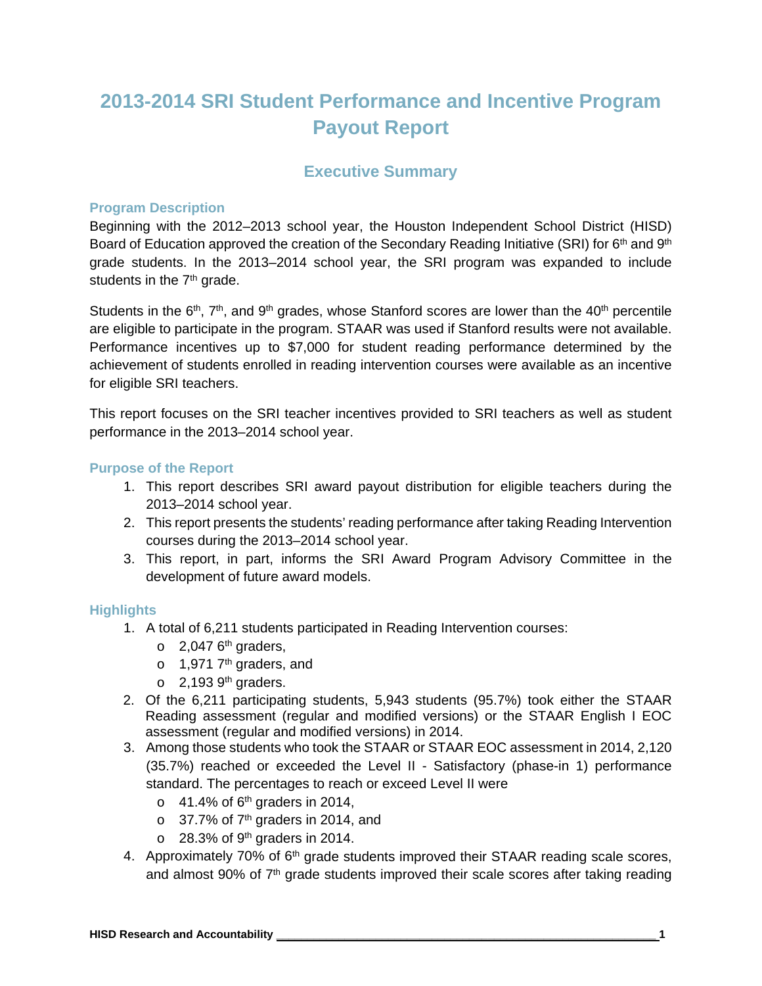### **2013-2014 SRI Student Performance and Incentive Program Payout Report**

#### **Executive Summary**

#### **Program Description**

Beginning with the 2012–2013 school year, the Houston Independent School District (HISD) Board of Education approved the creation of the Secondary Reading Initiative (SRI) for  $6<sup>th</sup>$  and  $9<sup>th</sup>$ grade students. In the 2013–2014 school year, the SRI program was expanded to include students in the  $7<sup>th</sup>$  grade.

Students in the  $6<sup>th</sup>$ ,  $7<sup>th</sup>$ , and  $9<sup>th</sup>$  grades, whose Stanford scores are lower than the  $40<sup>th</sup>$  percentile are eligible to participate in the program. STAAR was used if Stanford results were not available. Performance incentives up to \$7,000 for student reading performance determined by the achievement of students enrolled in reading intervention courses were available as an incentive for eligible SRI teachers.

This report focuses on the SRI teacher incentives provided to SRI teachers as well as student performance in the 2013–2014 school year.

#### **Purpose of the Report**

- 1. This report describes SRI award payout distribution for eligible teachers during the 2013–2014 school year.
- 2. This report presents the students' reading performance after taking Reading Intervention courses during the 2013–2014 school year.
- 3. This report, in part, informs the SRI Award Program Advisory Committee in the development of future award models.

#### **Highlights**

- 1. A total of 6,211 students participated in Reading Intervention courses:
	- $\circ$  2,047 6<sup>th</sup> graders,
	- $\circ$  1,971 7<sup>th</sup> graders, and
	- $\circ$  2,193 9<sup>th</sup> graders.
- 2. Of the 6,211 participating students, 5,943 students (95.7%) took either the STAAR Reading assessment (regular and modified versions) or the STAAR English I EOC assessment (regular and modified versions) in 2014.
- 3. Among those students who took the STAAR or STAAR EOC assessment in 2014, 2,120 (35.7%) reached or exceeded the Level II - Satisfactory (phase-in 1) performance standard. The percentages to reach or exceed Level II were
	- $\circ$  41.4% of 6<sup>th</sup> graders in 2014,
	- $\circ$  37.7% of 7<sup>th</sup> graders in 2014, and
	- $\circ$  28.3% of 9<sup>th</sup> graders in 2014.
- 4. Approximately 70% of 6<sup>th</sup> grade students improved their STAAR reading scale scores, and almost 90% of 7<sup>th</sup> grade students improved their scale scores after taking reading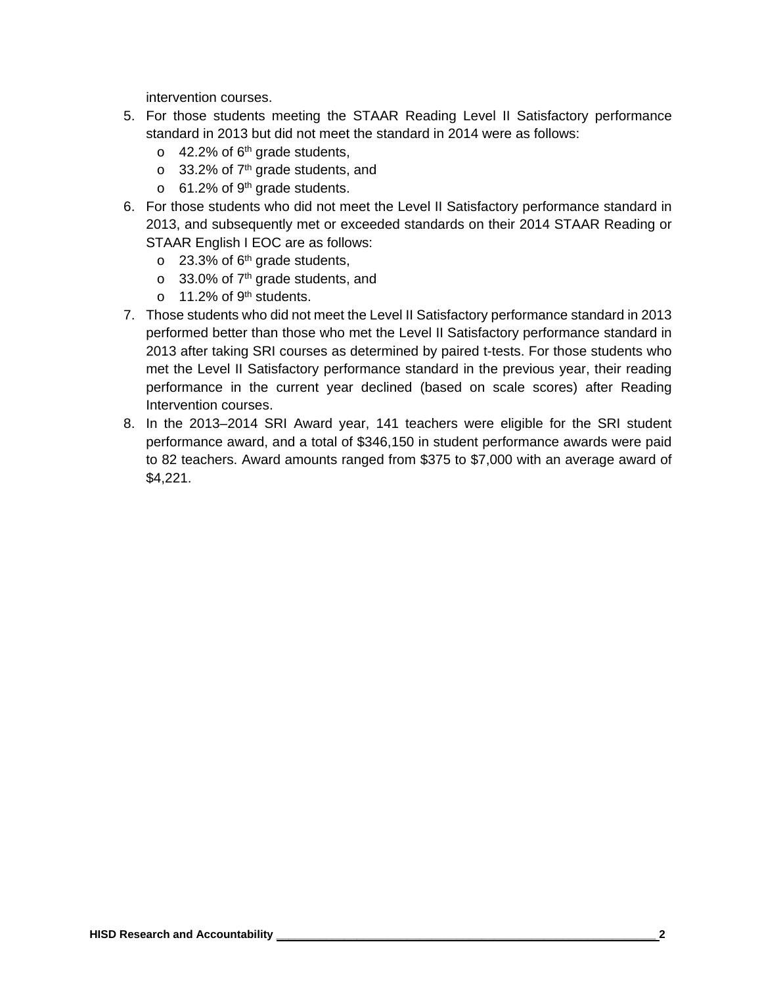intervention courses.

- 5. For those students meeting the STAAR Reading Level II Satisfactory performance standard in 2013 but did not meet the standard in 2014 were as follows:
	- $\circ$  42.2% of 6<sup>th</sup> grade students,
	- $\circ$  33.2% of 7<sup>th</sup> grade students, and
	- $\circ$  61.2% of 9<sup>th</sup> grade students.
- 6. For those students who did not meet the Level II Satisfactory performance standard in 2013, and subsequently met or exceeded standards on their 2014 STAAR Reading or STAAR English I EOC are as follows:
	- $\circ$  23.3% of 6<sup>th</sup> grade students,
	- $\circ$  33.0% of 7<sup>th</sup> grade students, and
	- $\circ$  11.2% of 9<sup>th</sup> students.
- 7. Those students who did not meet the Level II Satisfactory performance standard in 2013 performed better than those who met the Level II Satisfactory performance standard in 2013 after taking SRI courses as determined by paired t-tests. For those students who met the Level II Satisfactory performance standard in the previous year, their reading performance in the current year declined (based on scale scores) after Reading Intervention courses.
- 8. In the 2013–2014 SRI Award year, 141 teachers were eligible for the SRI student performance award, and a total of \$346,150 in student performance awards were paid to 82 teachers. Award amounts ranged from \$375 to \$7,000 with an average award of \$4,221.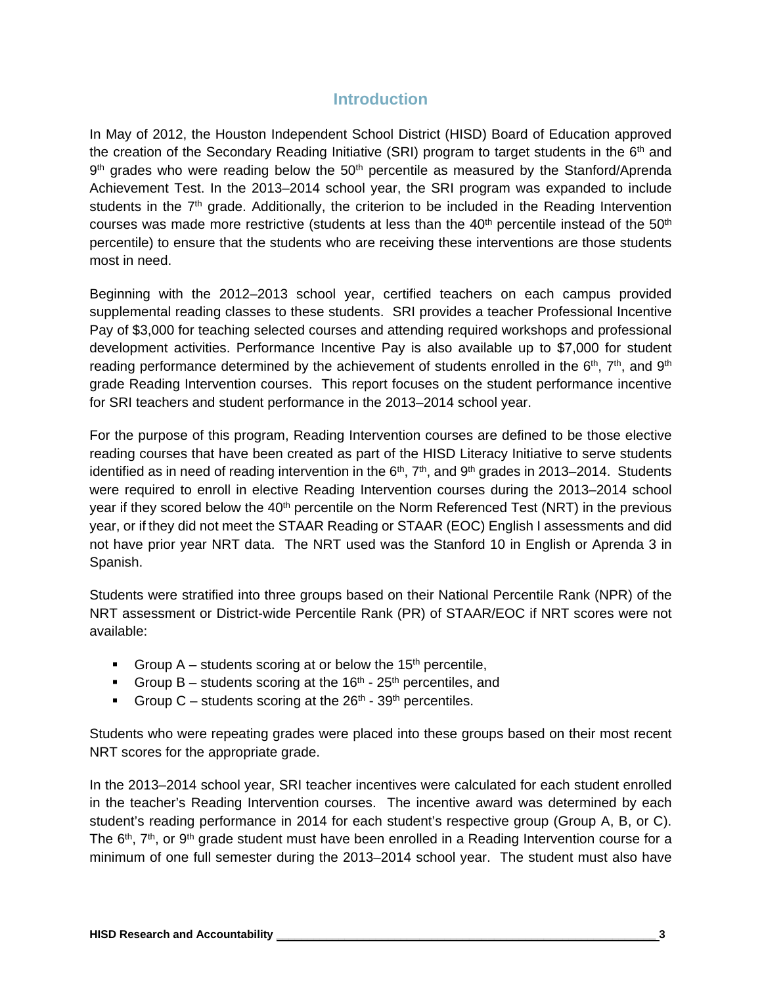#### **Introduction**

In May of 2012, the Houston Independent School District (HISD) Board of Education approved the creation of the Secondary Reading Initiative (SRI) program to target students in the  $6<sup>th</sup>$  and  $9<sup>th</sup>$  grades who were reading below the  $50<sup>th</sup>$  percentile as measured by the Stanford/Aprenda Achievement Test. In the 2013–2014 school year, the SRI program was expanded to include students in the 7<sup>th</sup> grade. Additionally, the criterion to be included in the Reading Intervention courses was made more restrictive (students at less than the  $40<sup>th</sup>$  percentile instead of the  $50<sup>th</sup>$ percentile) to ensure that the students who are receiving these interventions are those students most in need.

Beginning with the 2012–2013 school year, certified teachers on each campus provided supplemental reading classes to these students. SRI provides a teacher Professional Incentive Pay of \$3,000 for teaching selected courses and attending required workshops and professional development activities. Performance Incentive Pay is also available up to \$7,000 for student reading performance determined by the achievement of students enrolled in the  $6<sup>th</sup>$ ,  $7<sup>th</sup>$ , and  $9<sup>th</sup>$ grade Reading Intervention courses. This report focuses on the student performance incentive for SRI teachers and student performance in the 2013–2014 school year.

For the purpose of this program, Reading Intervention courses are defined to be those elective reading courses that have been created as part of the HISD Literacy Initiative to serve students identified as in need of reading intervention in the  $6<sup>th</sup>$ ,  $7<sup>th</sup>$ , and  $9<sup>th</sup>$  grades in 2013–2014. Students were required to enroll in elective Reading Intervention courses during the 2013–2014 school year if they scored below the 40<sup>th</sup> percentile on the Norm Referenced Test (NRT) in the previous year, or if they did not meet the STAAR Reading or STAAR (EOC) English I assessments and did not have prior year NRT data. The NRT used was the Stanford 10 in English or Aprenda 3 in Spanish.

Students were stratified into three groups based on their National Percentile Rank (NPR) of the NRT assessment or District-wide Percentile Rank (PR) of STAAR/EOC if NRT scores were not available:

- Group A students scoring at or below the 15<sup>th</sup> percentile,
- Group B students scoring at the  $16<sup>th</sup>$   $25<sup>th</sup>$  percentiles, and
- Group C students scoring at the  $26<sup>th</sup>$   $39<sup>th</sup>$  percentiles.

Students who were repeating grades were placed into these groups based on their most recent NRT scores for the appropriate grade.

In the 2013–2014 school year, SRI teacher incentives were calculated for each student enrolled in the teacher's Reading Intervention courses. The incentive award was determined by each student's reading performance in 2014 for each student's respective group (Group A, B, or C). The  $6<sup>th</sup>$ ,  $7<sup>th</sup>$ , or  $9<sup>th</sup>$  grade student must have been enrolled in a Reading Intervention course for a minimum of one full semester during the 2013–2014 school year. The student must also have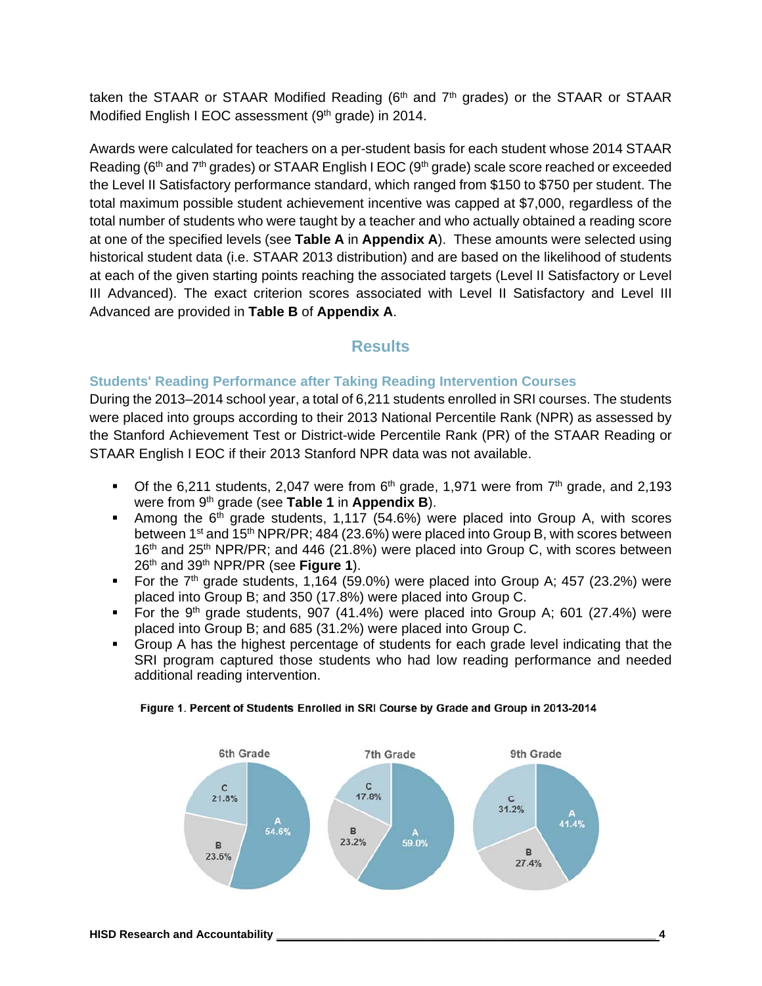taken the STAAR or STAAR Modified Reading ( $6<sup>th</sup>$  and  $7<sup>th</sup>$  grades) or the STAAR or STAAR Modified English I EOC assessment (9<sup>th</sup> grade) in 2014.

Awards were calculated for teachers on a per-student basis for each student whose 2014 STAAR Reading ( $6<sup>th</sup>$  and  $7<sup>th</sup>$  grades) or STAAR English I EOC ( $9<sup>th</sup>$  grade) scale score reached or exceeded the Level II Satisfactory performance standard, which ranged from \$150 to \$750 per student. The total maximum possible student achievement incentive was capped at \$7,000, regardless of the total number of students who were taught by a teacher and who actually obtained a reading score at one of the specified levels (see **Table A** in **Appendix A**). These amounts were selected using historical student data (i.e. STAAR 2013 distribution) and are based on the likelihood of students at each of the given starting points reaching the associated targets (Level II Satisfactory or Level III Advanced). The exact criterion scores associated with Level II Satisfactory and Level III Advanced are provided in **Table B** of **Appendix A**.

#### **Results**

#### **Students' Reading Performance after Taking Reading Intervention Courses**

During the 2013–2014 school year, a total of 6,211 students enrolled in SRI courses. The students were placed into groups according to their 2013 National Percentile Rank (NPR) as assessed by the Stanford Achievement Test or District-wide Percentile Rank (PR) of the STAAR Reading or STAAR English I EOC if their 2013 Stanford NPR data was not available.

- Of the 6,211 students, 2,047 were from  $6<sup>th</sup>$  grade, 1,971 were from  $7<sup>th</sup>$  grade, and 2,193 were from 9th grade (see **Table 1** in **Appendix B**).
- Among the  $6<sup>th</sup>$  grade students, 1,117 (54.6%) were placed into Group A, with scores between 1<sup>st</sup> and 15<sup>th</sup> NPR/PR; 484 (23.6%) were placed into Group B, with scores between 16<sup>th</sup> and 25<sup>th</sup> NPR/PR; and 446 (21.8%) were placed into Group C, with scores between 26th and 39th NPR/PR (see **Figure 1**).
- For the  $7<sup>th</sup>$  grade students, 1,164 (59.0%) were placed into Group A; 457 (23.2%) were placed into Group B; and 350 (17.8%) were placed into Group C.
- For the 9<sup>th</sup> grade students, 907 (41.4%) were placed into Group A; 601 (27.4%) were placed into Group B; and 685 (31.2%) were placed into Group C.
- Group A has the highest percentage of students for each grade level indicating that the SRI program captured those students who had low reading performance and needed additional reading intervention.



#### Figure 1. Percent of Students Enrolled in SRI Course by Grade and Group in 2013-2014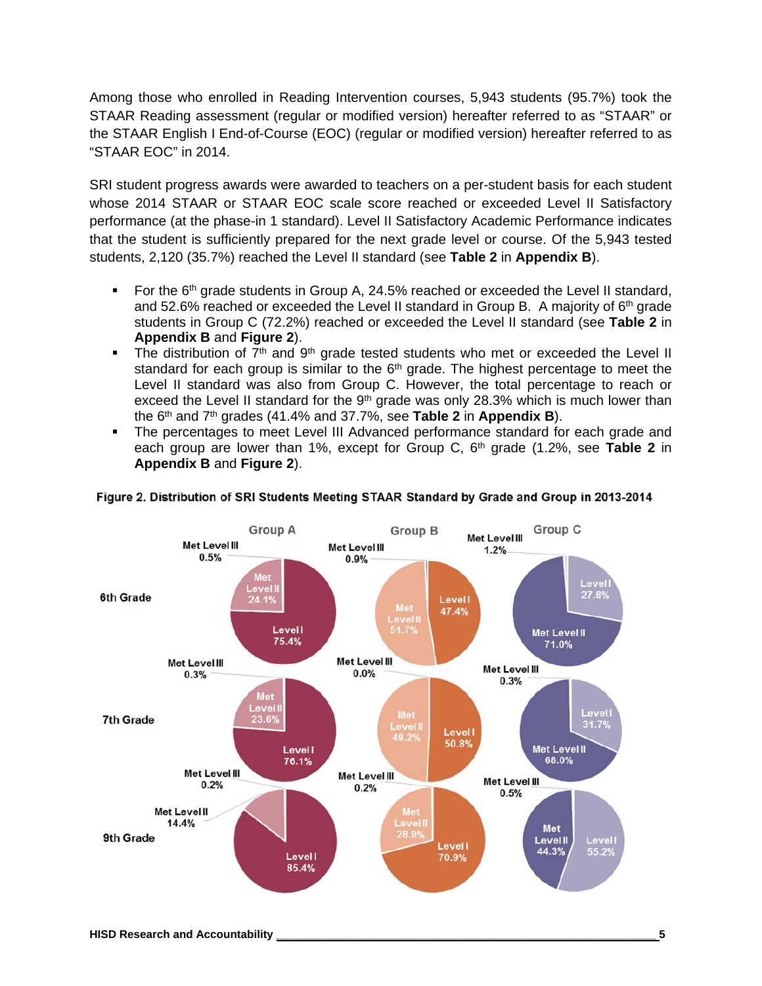Among those who enrolled in Reading Intervention courses, 5,943 students (95.7%) took the STAAR Reading assessment (regular or modified version) hereafter referred to as "STAAR" or the STAAR English I End-of-Course (EOC) (regular or modified version) hereafter referred to as "STAAR EOC" in 2014.

SRI student progress awards were awarded to teachers on a per-student basis for each student whose 2014 STAAR or STAAR EOC scale score reached or exceeded Level II Satisfactory performance (at the phase-in 1 standard). Level II Satisfactory Academic Performance indicates that the student is sufficiently prepared for the next grade level or course. Of the 5,943 tested students, 2,120 (35.7%) reached the Level II standard (see **Table 2** in **Appendix B**).

- For the  $6<sup>th</sup>$  grade students in Group A, 24.5% reached or exceeded the Level II standard, and 52.6% reached or exceeded the Level II standard in Group B. A majority of  $6<sup>th</sup>$  grade students in Group C (72.2%) reached or exceeded the Level II standard (see **Table 2** in **Appendix B** and **Figure 2**).
- The distribution of  $7<sup>th</sup>$  and  $9<sup>th</sup>$  grade tested students who met or exceeded the Level II standard for each group is similar to the  $6<sup>th</sup>$  grade. The highest percentage to meet the Level II standard was also from Group C. However, the total percentage to reach or exceed the Level II standard for the  $9<sup>th</sup>$  grade was only 28.3% which is much lower than the 6th and 7th grades (41.4% and 37.7%, see **Table 2** in **Appendix B**).
- The percentages to meet Level III Advanced performance standard for each grade and each group are lower than 1%, except for Group C,  $6<sup>th</sup>$  grade  $(1.2\%$ , see **Table 2** in **Appendix B** and **Figure 2**).



#### Figure 2. Distribution of SRI Students Meeting STAAR Standard by Grade and Group in 2013-2014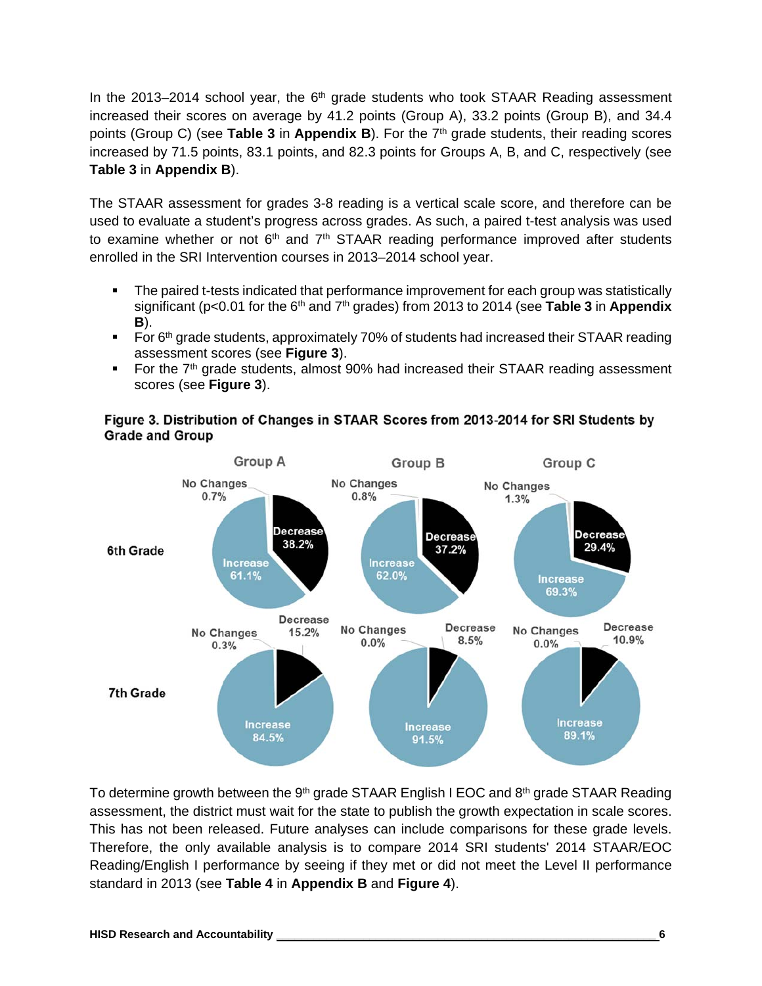In the 2013–2014 school year, the  $6<sup>th</sup>$  grade students who took STAAR Reading assessment increased their scores on average by 41.2 points (Group A), 33.2 points (Group B), and 34.4 points (Group C) (see **Table 3** in **Appendix B**). For the 7th grade students, their reading scores increased by 71.5 points, 83.1 points, and 82.3 points for Groups A, B, and C, respectively (see **Table 3** in **Appendix B**).

The STAAR assessment for grades 3-8 reading is a vertical scale score, and therefore can be used to evaluate a student's progress across grades. As such, a paired t-test analysis was used to examine whether or not  $6<sup>th</sup>$  and  $7<sup>th</sup>$  STAAR reading performance improved after students enrolled in the SRI Intervention courses in 2013–2014 school year.

- The paired t-tests indicated that performance improvement for each group was statistically significant (p<0.01 for the 6th and 7th grades) from 2013 to 2014 (see **Table 3** in **Appendix B**).
- For 6<sup>th</sup> grade students, approximately 70% of students had increased their STAAR reading assessment scores (see **Figure 3**).
- For the  $7<sup>th</sup>$  grade students, almost 90% had increased their STAAR reading assessment scores (see **Figure 3**).





To determine growth between the 9<sup>th</sup> grade STAAR English I EOC and 8<sup>th</sup> grade STAAR Reading assessment, the district must wait for the state to publish the growth expectation in scale scores. This has not been released. Future analyses can include comparisons for these grade levels. Therefore, the only available analysis is to compare 2014 SRI students' 2014 STAAR/EOC Reading/English I performance by seeing if they met or did not meet the Level II performance standard in 2013 (see **Table 4** in **Appendix B** and **Figure 4**).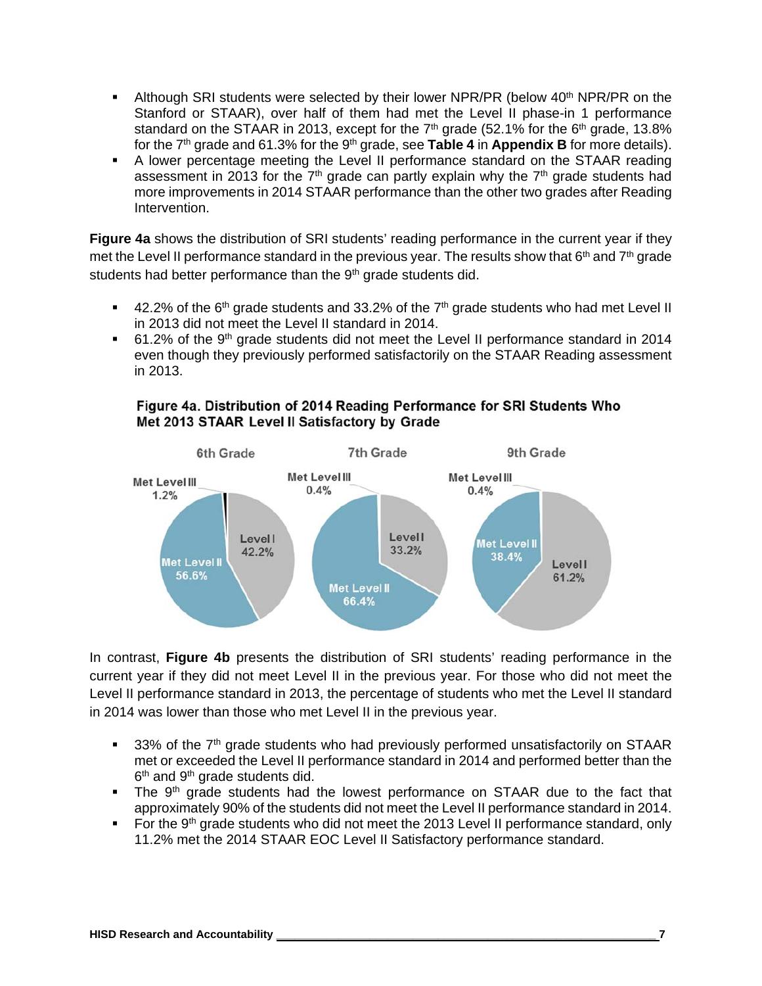- **Although SRI students were selected by their lower NPR/PR (below 40<sup>th</sup> NPR/PR on the** Stanford or STAAR), over half of them had met the Level II phase-in 1 performance standard on the STAAR in 2013, except for the  $7<sup>th</sup>$  grade (52.1% for the  $6<sup>th</sup>$  grade, 13.8% for the 7<sup>th</sup> grade and 61.3% for the 9<sup>th</sup> grade, see **Table 4** in **Appendix B** for more details).
- A lower percentage meeting the Level II performance standard on the STAAR reading assessment in 2013 for the  $7<sup>th</sup>$  grade can partly explain why the  $7<sup>th</sup>$  grade students had more improvements in 2014 STAAR performance than the other two grades after Reading Intervention.

**Figure 4a** shows the distribution of SRI students' reading performance in the current year if they met the Level II performance standard in the previous year. The results show that  $6<sup>th</sup>$  and  $7<sup>th</sup>$  grade students had better performance than the 9<sup>th</sup> grade students did.

- $\blacksquare$  42.2% of the 6<sup>th</sup> grade students and 33.2% of the 7<sup>th</sup> grade students who had met Level II in 2013 did not meet the Level II standard in 2014.
- 61.2% of the 9th grade students did not meet the Level II performance standard in 2014 even though they previously performed satisfactorily on the STAAR Reading assessment in 2013.



#### Figure 4a. Distribution of 2014 Reading Performance for SRI Students Who Met 2013 STAAR Level II Satisfactory by Grade

In contrast, **Figure 4b** presents the distribution of SRI students' reading performance in the current year if they did not meet Level II in the previous year. For those who did not meet the Level II performance standard in 2013, the percentage of students who met the Level II standard in 2014 was lower than those who met Level II in the previous year.

- 33% of the 7<sup>th</sup> grade students who had previously performed unsatisfactorily on STAAR met or exceeded the Level II performance standard in 2014 and performed better than the 6<sup>th</sup> and 9<sup>th</sup> grade students did.
- The 9<sup>th</sup> grade students had the lowest performance on STAAR due to the fact that approximately 90% of the students did not meet the Level II performance standard in 2014.
- For the 9<sup>th</sup> grade students who did not meet the 2013 Level II performance standard, only 11.2% met the 2014 STAAR EOC Level II Satisfactory performance standard.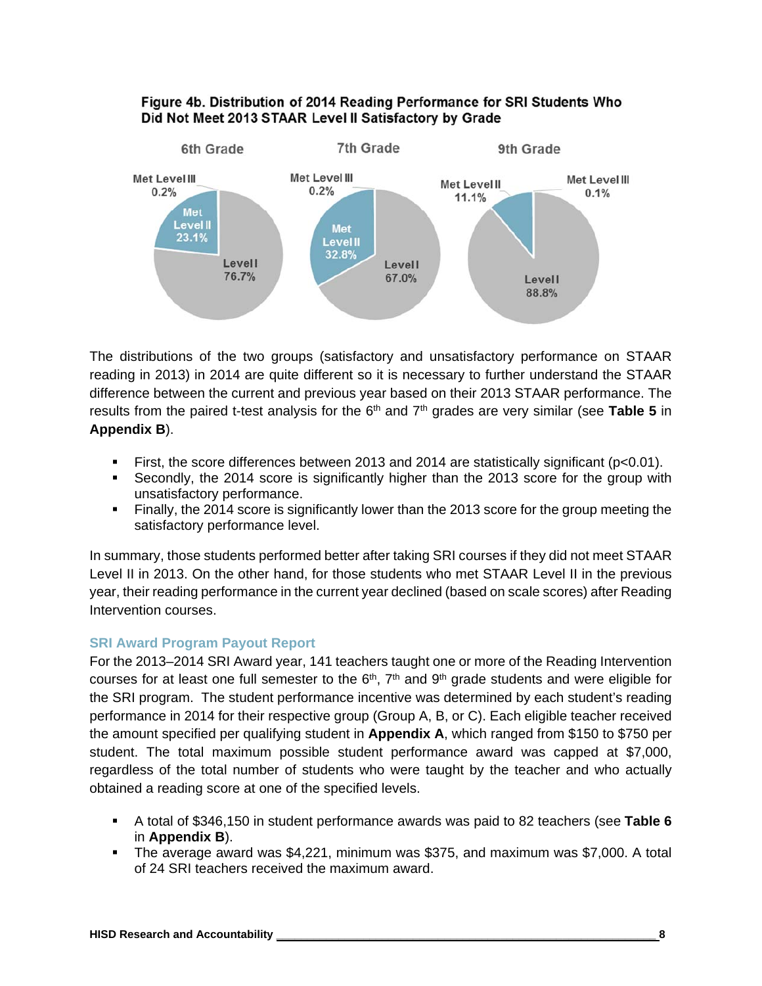#### Figure 4b. Distribution of 2014 Reading Performance for SRI Students Who Did Not Meet 2013 STAAR Level II Satisfactory by Grade



The distributions of the two groups (satisfactory and unsatisfactory performance on STAAR reading in 2013) in 2014 are quite different so it is necessary to further understand the STAAR difference between the current and previous year based on their 2013 STAAR performance. The results from the paired t-test analysis for the 6<sup>th</sup> and 7<sup>th</sup> grades are very similar (see Table 5 in **Appendix B**).

- First, the score differences between 2013 and 2014 are statistically significant ( $p < 0.01$ ).
- Secondly, the 2014 score is significantly higher than the 2013 score for the group with unsatisfactory performance.
- Finally, the 2014 score is significantly lower than the 2013 score for the group meeting the satisfactory performance level.

In summary, those students performed better after taking SRI courses if they did not meet STAAR Level II in 2013. On the other hand, for those students who met STAAR Level II in the previous year, their reading performance in the current year declined (based on scale scores) after Reading Intervention courses.

#### **SRI Award Program Payout Report**

For the 2013–2014 SRI Award year, 141 teachers taught one or more of the Reading Intervention courses for at least one full semester to the  $6<sup>th</sup>$ ,  $7<sup>th</sup>$  and  $9<sup>th</sup>$  grade students and were eligible for the SRI program. The student performance incentive was determined by each student's reading performance in 2014 for their respective group (Group A, B, or C). Each eligible teacher received the amount specified per qualifying student in **Appendix A**, which ranged from \$150 to \$750 per student. The total maximum possible student performance award was capped at \$7,000, regardless of the total number of students who were taught by the teacher and who actually obtained a reading score at one of the specified levels.

- A total of \$346,150 in student performance awards was paid to 82 teachers (see **Table 6** in **Appendix B**).
- The average award was \$4,221, minimum was \$375, and maximum was \$7,000. A total of 24 SRI teachers received the maximum award.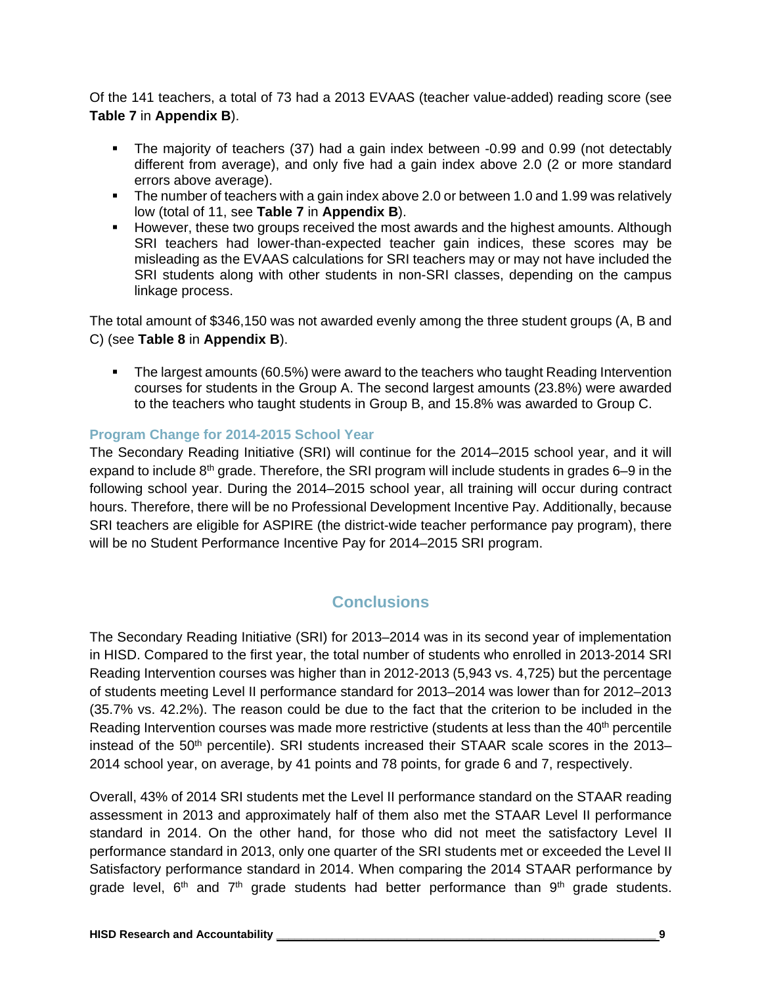Of the 141 teachers, a total of 73 had a 2013 EVAAS (teacher value-added) reading score (see **Table 7** in **Appendix B**).

- The majority of teachers (37) had a gain index between -0.99 and 0.99 (not detectably different from average), and only five had a gain index above 2.0 (2 or more standard errors above average).
- The number of teachers with a gain index above 2.0 or between 1.0 and 1.99 was relatively low (total of 11, see **Table 7** in **Appendix B**).
- However, these two groups received the most awards and the highest amounts. Although SRI teachers had lower-than-expected teacher gain indices, these scores may be misleading as the EVAAS calculations for SRI teachers may or may not have included the SRI students along with other students in non-SRI classes, depending on the campus linkage process.

The total amount of \$346,150 was not awarded evenly among the three student groups (A, B and C) (see **Table 8** in **Appendix B**).

 The largest amounts (60.5%) were award to the teachers who taught Reading Intervention courses for students in the Group A. The second largest amounts (23.8%) were awarded to the teachers who taught students in Group B, and 15.8% was awarded to Group C.

#### **Program Change for 2014-2015 School Year**

The Secondary Reading Initiative (SRI) will continue for the 2014–2015 school year, and it will expand to include 8<sup>th</sup> grade. Therefore, the SRI program will include students in grades 6–9 in the following school year. During the 2014–2015 school year, all training will occur during contract hours. Therefore, there will be no Professional Development Incentive Pay. Additionally, because SRI teachers are eligible for ASPIRE (the district-wide teacher performance pay program), there will be no Student Performance Incentive Pay for 2014–2015 SRI program.

#### **Conclusions**

The Secondary Reading Initiative (SRI) for 2013–2014 was in its second year of implementation in HISD. Compared to the first year, the total number of students who enrolled in 2013-2014 SRI Reading Intervention courses was higher than in 2012-2013 (5,943 vs. 4,725) but the percentage of students meeting Level II performance standard for 2013–2014 was lower than for 2012–2013 (35.7% vs. 42.2%). The reason could be due to the fact that the criterion to be included in the Reading Intervention courses was made more restrictive (students at less than the 40<sup>th</sup> percentile instead of the 50<sup>th</sup> percentile). SRI students increased their STAAR scale scores in the 2013– 2014 school year, on average, by 41 points and 78 points, for grade 6 and 7, respectively.

Overall, 43% of 2014 SRI students met the Level II performance standard on the STAAR reading assessment in 2013 and approximately half of them also met the STAAR Level II performance standard in 2014. On the other hand, for those who did not meet the satisfactory Level II performance standard in 2013, only one quarter of the SRI students met or exceeded the Level II Satisfactory performance standard in 2014. When comparing the 2014 STAAR performance by grade level,  $6<sup>th</sup>$  and  $7<sup>th</sup>$  grade students had better performance than  $9<sup>th</sup>$  grade students.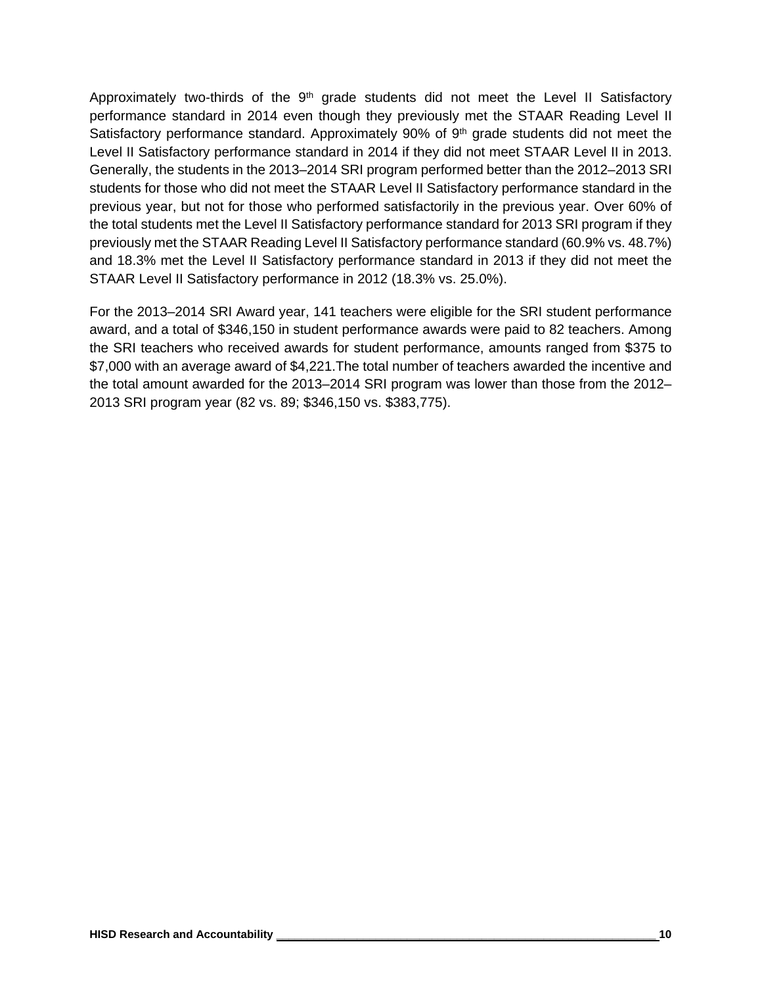Approximately two-thirds of the  $9<sup>th</sup>$  grade students did not meet the Level II Satisfactory performance standard in 2014 even though they previously met the STAAR Reading Level II Satisfactory performance standard. Approximately 90% of 9<sup>th</sup> grade students did not meet the Level II Satisfactory performance standard in 2014 if they did not meet STAAR Level II in 2013. Generally, the students in the 2013–2014 SRI program performed better than the 2012–2013 SRI students for those who did not meet the STAAR Level II Satisfactory performance standard in the previous year, but not for those who performed satisfactorily in the previous year. Over 60% of the total students met the Level II Satisfactory performance standard for 2013 SRI program if they previously met the STAAR Reading Level II Satisfactory performance standard (60.9% vs. 48.7%) and 18.3% met the Level II Satisfactory performance standard in 2013 if they did not meet the STAAR Level II Satisfactory performance in 2012 (18.3% vs. 25.0%).

For the 2013–2014 SRI Award year, 141 teachers were eligible for the SRI student performance award, and a total of \$346,150 in student performance awards were paid to 82 teachers. Among the SRI teachers who received awards for student performance, amounts ranged from \$375 to \$7,000 with an average award of \$4,221.The total number of teachers awarded the incentive and the total amount awarded for the 2013–2014 SRI program was lower than those from the 2012– 2013 SRI program year (82 vs. 89; \$346,150 vs. \$383,775).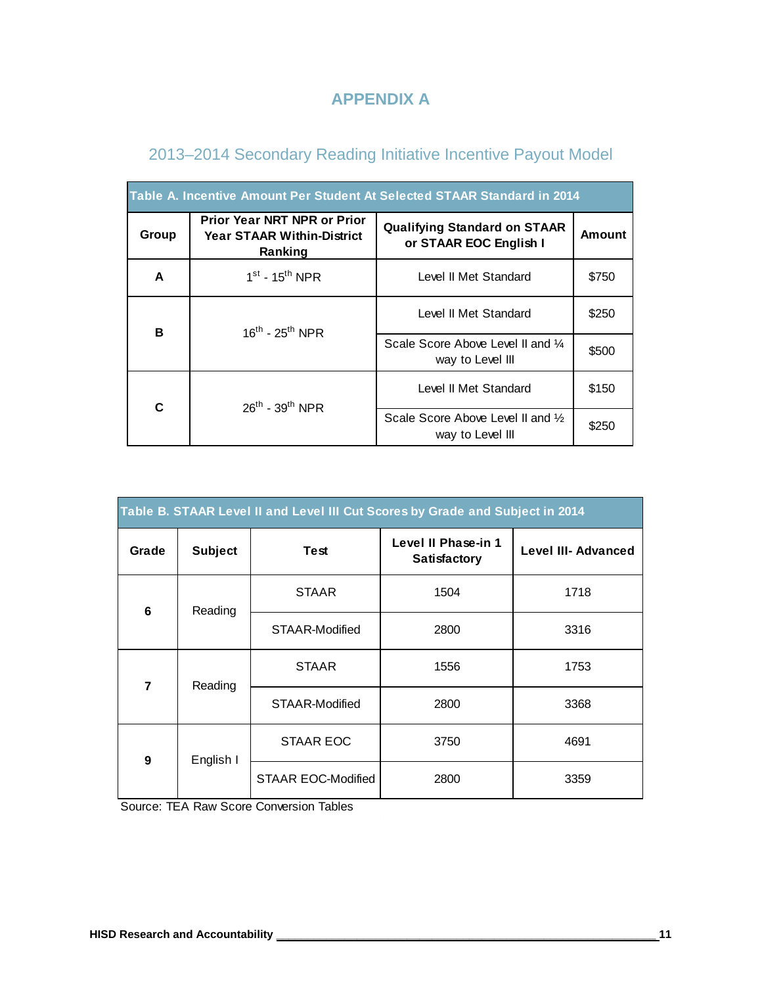#### **APPENDIX A**

| Table A. Incentive Amount Per Student At Selected STAAR Standard in 2014 |                                                                                    |                                                               |        |  |  |  |
|--------------------------------------------------------------------------|------------------------------------------------------------------------------------|---------------------------------------------------------------|--------|--|--|--|
| Group                                                                    | <b>Prior Year NRT NPR or Prior</b><br><b>Year STAAR Within-District</b><br>Ranking | <b>Qualifying Standard on STAAR</b><br>or STAAR EOC English I | Amount |  |  |  |
| A                                                                        | $1st$ - 15 <sup>th</sup> NPR                                                       | Level II Met Standard                                         | \$750  |  |  |  |
| B                                                                        | $16^{th}$ - $25^{th}$ NPR                                                          | Level II Met Standard                                         | \$250  |  |  |  |
|                                                                          |                                                                                    | Scale Score Above Level II and 1/4<br>way to Level III        | \$500  |  |  |  |
| C                                                                        | $26^{th}$ - $39^{th}$ NPR                                                          | Level II Met Standard                                         | \$150  |  |  |  |
|                                                                          |                                                                                    | Scale Score Above Level II and 1/2<br>way to Level III        | \$250  |  |  |  |

#### 2013–2014 Secondary Reading Initiative Incentive Payout Model

| Table B. STAAR Level II and Level III Cut Scores by Grade and Subject in 2014 |                |                           |                                     |                            |  |  |
|-------------------------------------------------------------------------------|----------------|---------------------------|-------------------------------------|----------------------------|--|--|
| Grade                                                                         | <b>Subject</b> | <b>Test</b>               | Level II Phase-in 1<br>Satisfactory | <b>Level III- Advanced</b> |  |  |
| 6                                                                             | Reading        | <b>STAAR</b>              | 1504                                | 1718                       |  |  |
|                                                                               |                | STAAR-Modified            | 2800                                | 3316                       |  |  |
| $\overline{7}$                                                                | Reading        | <b>STAAR</b>              | 1556                                | 1753                       |  |  |
|                                                                               |                | STAAR-Modified            | 2800                                | 3368                       |  |  |
| 9                                                                             | English I      | <b>STAAR EOC</b>          | 3750                                | 4691                       |  |  |
|                                                                               |                | <b>STAAR EOC-Modified</b> | 2800                                | 3359                       |  |  |

Source: TEA Raw Score Conversion Tables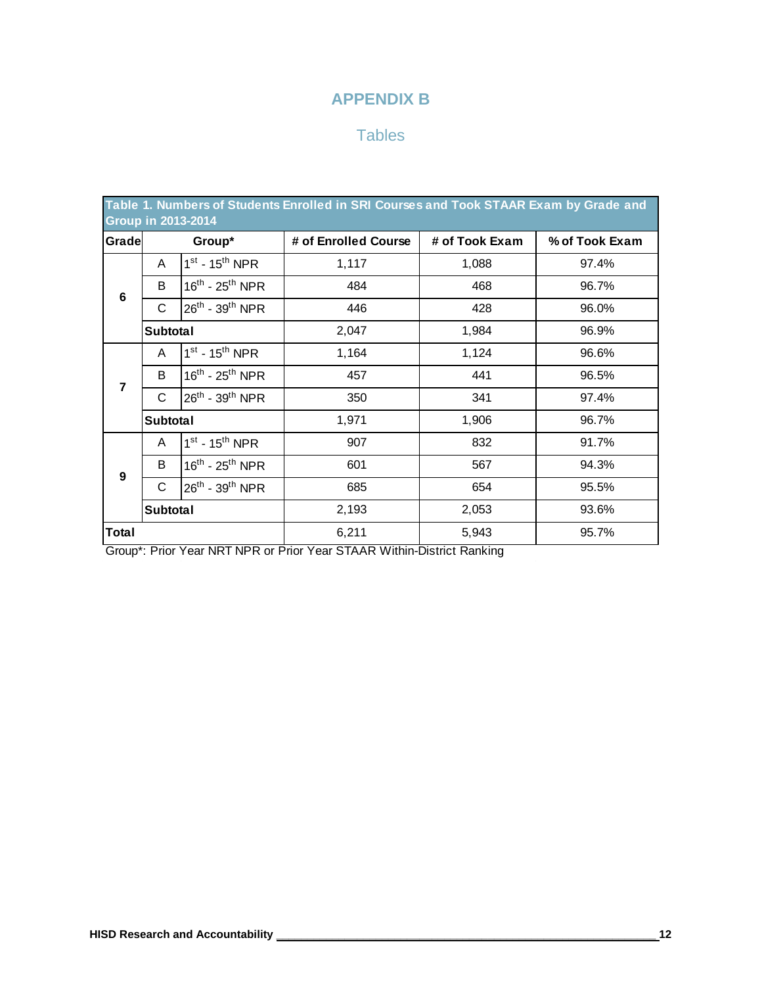#### **APPENDIX B**

#### **Tables**

| Table 1. Numbers of Students Enrolled in SRI Courses and Took STAAR Exam by Grade and<br><b>Group in 2013-2014</b> |                 |                                         |                      |                |                |  |
|--------------------------------------------------------------------------------------------------------------------|-----------------|-----------------------------------------|----------------------|----------------|----------------|--|
| Gradel                                                                                                             |                 | Group*                                  | # of Enrolled Course | # of Took Exam | % of Took Exam |  |
|                                                                                                                    | A               | $1st - 15th NPR$                        | 1,117                | 1,088          | 97.4%          |  |
| 6                                                                                                                  | B               | $16^{\text{th}}$ - $25^{\text{th}}$ NPR | 484                  | 468            | 96.7%          |  |
|                                                                                                                    | С               | 26 <sup>th</sup> - 39 <sup>th</sup> NPR | 446                  | 428            | 96.0%          |  |
|                                                                                                                    | <b>Subtotal</b> |                                         | 2,047                | 1,984          | 96.9%          |  |
|                                                                                                                    | A               | $1st - 15th NPR$                        | 1,164                | 1,124          | 96.6%          |  |
| $\overline{7}$                                                                                                     | B               | $16^{\text{th}}$ - $25^{\text{th}}$ NPR | 457                  | 441            | 96.5%          |  |
|                                                                                                                    | С               | 26 <sup>th</sup> - 39 <sup>th</sup> NPR | 350                  | 341            | 97.4%          |  |
|                                                                                                                    | <b>Subtotal</b> |                                         | 1,971                | 1,906          | 96.7%          |  |
|                                                                                                                    | A               | $1st - 15th NPR$                        | 907                  | 832            | 91.7%          |  |
| 9                                                                                                                  | B               | $16^{th}$ - $25^{th}$ NPR               | 601                  | 567            | 94.3%          |  |
|                                                                                                                    | $\mathsf C$     | 26 <sup>th</sup> - 39 <sup>th</sup> NPR | 685                  | 654            | 95.5%          |  |
| Subtotal                                                                                                           |                 |                                         | 2,193                | 2,053          | 93.6%          |  |
| Total                                                                                                              |                 |                                         | 6,211                | 5,943          | 95.7%          |  |

Group\*: Prior Year NRT NPR or Prior Year STAAR Within-District Ranking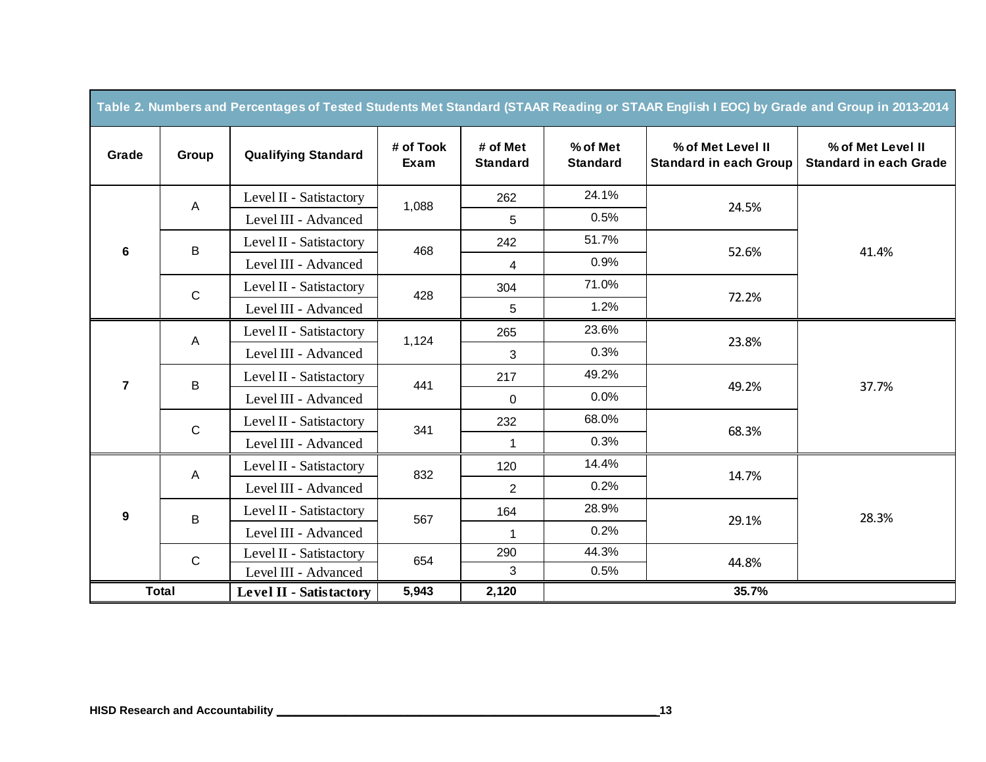| Table 2. Numbers and Percentages of Tested Students Met Standard (STAAR Reading or STAAR English I EOC) by Grade and Group in 2013-2014 |              |                                |                   |                             |                             |                                                    |                                                    |  |
|-----------------------------------------------------------------------------------------------------------------------------------------|--------------|--------------------------------|-------------------|-----------------------------|-----------------------------|----------------------------------------------------|----------------------------------------------------|--|
| Grade                                                                                                                                   | Group        | <b>Qualifying Standard</b>     | # of Took<br>Exam | # of Met<br><b>Standard</b> | % of Met<br><b>Standard</b> | % of Met Level II<br><b>Standard in each Group</b> | % of Met Level II<br><b>Standard in each Grade</b> |  |
|                                                                                                                                         | A            | Level II - Satistactory        | 1,088             | 262                         | 24.1%                       | 24.5%                                              |                                                    |  |
|                                                                                                                                         |              | Level III - Advanced           |                   | 5                           | 0.5%                        |                                                    |                                                    |  |
| 6                                                                                                                                       | B            | Level II - Satistactory        | 468               | 242                         | 51.7%                       | 52.6%                                              | 41.4%                                              |  |
|                                                                                                                                         |              | Level III - Advanced           |                   | 4                           | 0.9%                        |                                                    |                                                    |  |
|                                                                                                                                         | $\mathsf{C}$ | Level II - Satistactory        | 428               | 304                         | 71.0%                       | 72.2%                                              |                                                    |  |
|                                                                                                                                         |              | Level III - Advanced           |                   | 5                           | 1.2%                        |                                                    |                                                    |  |
|                                                                                                                                         | A            | Level II - Satistactory        | 1,124             | 265                         | 23.6%                       | 23.8%                                              | 37.7%                                              |  |
|                                                                                                                                         |              | Level III - Advanced           |                   | 3                           | 0.3%                        |                                                    |                                                    |  |
| $\overline{7}$                                                                                                                          | B            | Level II - Satistactory        | 441               | 217                         | 49.2%                       | 49.2%                                              |                                                    |  |
|                                                                                                                                         |              | Level III - Advanced           |                   | 0                           | 0.0%                        |                                                    |                                                    |  |
|                                                                                                                                         | $\mathsf{C}$ | Level II - Satistactory        | 341               | 232                         | 68.0%                       | 68.3%                                              |                                                    |  |
|                                                                                                                                         |              | Level III - Advanced           |                   | $\mathbf 1$                 | 0.3%                        |                                                    |                                                    |  |
|                                                                                                                                         | $\mathsf{A}$ | Level II - Satistactory        | 832               | 120                         | 14.4%                       | 14.7%                                              | 28.3%                                              |  |
|                                                                                                                                         |              | Level III - Advanced           |                   | 2                           | 0.2%                        |                                                    |                                                    |  |
| 9                                                                                                                                       | B            | Level II - Satistactory        | 567               | 164                         | 28.9%                       | 29.1%                                              |                                                    |  |
|                                                                                                                                         |              | Level III - Advanced           |                   | $\mathbf{1}$                | 0.2%                        |                                                    |                                                    |  |
|                                                                                                                                         | $\mathbf C$  | Level II - Satistactory        | 654               | 290                         | 44.3%                       | 44.8%                                              |                                                    |  |
|                                                                                                                                         |              | Level III - Advanced           |                   | 3                           | 0.5%                        |                                                    |                                                    |  |
|                                                                                                                                         | <b>Total</b> | <b>Level II - Satistactory</b> | 5,943             | 2,120                       |                             | 35.7%                                              |                                                    |  |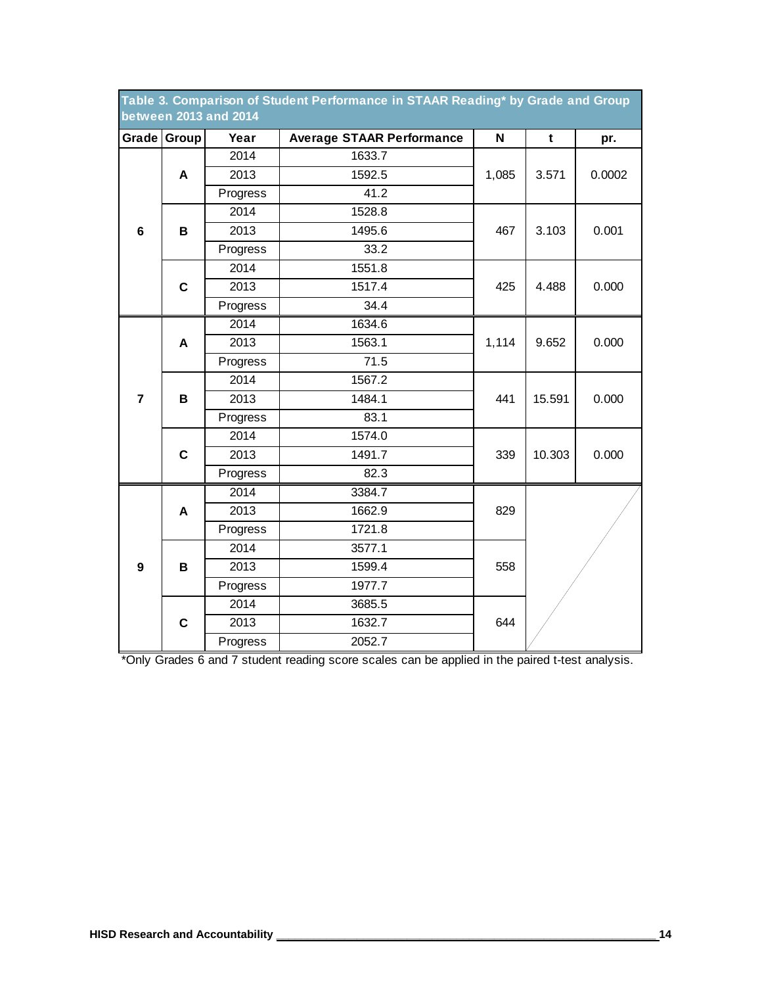| Table 3. Comparison of Student Performance in STAAR Reading* by Grade and Group<br><b>between 2013 and 2014</b> |             |          |                                  |       |             |       |  |
|-----------------------------------------------------------------------------------------------------------------|-------------|----------|----------------------------------|-------|-------------|-------|--|
|                                                                                                                 | Grade Group | Year     | <b>Average STAAR Performance</b> |       | $\mathbf t$ | pr.   |  |
|                                                                                                                 |             | 2014     | 1633.7                           |       |             |       |  |
|                                                                                                                 | A           | 2013     | 1592.5                           | 3.571 | 0.0002      |       |  |
|                                                                                                                 |             | Progress | 41.2                             |       |             |       |  |
|                                                                                                                 |             | 2014     | 1528.8                           |       |             |       |  |
| $\bf 6$                                                                                                         | В           | 2013     | 1495.6                           | 467   | 3.103       | 0.001 |  |
|                                                                                                                 |             | Progress | 33.2                             |       |             |       |  |
|                                                                                                                 |             | 2014     | 1551.8                           |       |             |       |  |
|                                                                                                                 | C           | 2013     | 1517.4                           | 425   | 4.488       | 0.000 |  |
|                                                                                                                 |             | Progress | 34.4                             |       |             |       |  |
|                                                                                                                 |             | 2014     | 1634.6                           |       |             |       |  |
|                                                                                                                 | A           | 2013     | 1563.1                           | 1,114 |             | 0.000 |  |
|                                                                                                                 |             | Progress | 71.5                             |       |             |       |  |
|                                                                                                                 |             | 2014     | 1567.2                           |       |             |       |  |
| $\overline{7}$                                                                                                  | B           | 2013     | 1484.1                           | 441   | 15.591      | 0.000 |  |
|                                                                                                                 |             | Progress | 83.1                             |       |             |       |  |
|                                                                                                                 |             | 2014     | 1574.0                           |       |             |       |  |
|                                                                                                                 | $\mathbf c$ | 2013     | 1491.7                           | 339   | 10.303      | 0.000 |  |
|                                                                                                                 |             | Progress | 82.3                             |       |             |       |  |
|                                                                                                                 |             | 2014     | 3384.7                           |       |             |       |  |
|                                                                                                                 | A           | 2013     | 1662.9                           | 829   |             |       |  |
|                                                                                                                 |             | Progress | 1721.8                           |       |             |       |  |
|                                                                                                                 |             | 2014     | 3577.1                           |       |             |       |  |
| $\boldsymbol{9}$                                                                                                | B           | 2013     | 1599.4                           | 558   |             |       |  |
|                                                                                                                 |             | Progress | 1977.7                           |       |             |       |  |
|                                                                                                                 |             | 2014     | 3685.5                           |       |             |       |  |
|                                                                                                                 | $\mathbf c$ | 2013     | 1632.7                           | 644   |             |       |  |
|                                                                                                                 |             | Progress | 2052.7                           |       |             |       |  |

\*Only Grades 6 and 7 student reading score scales can be applied in the paired t-test analysis.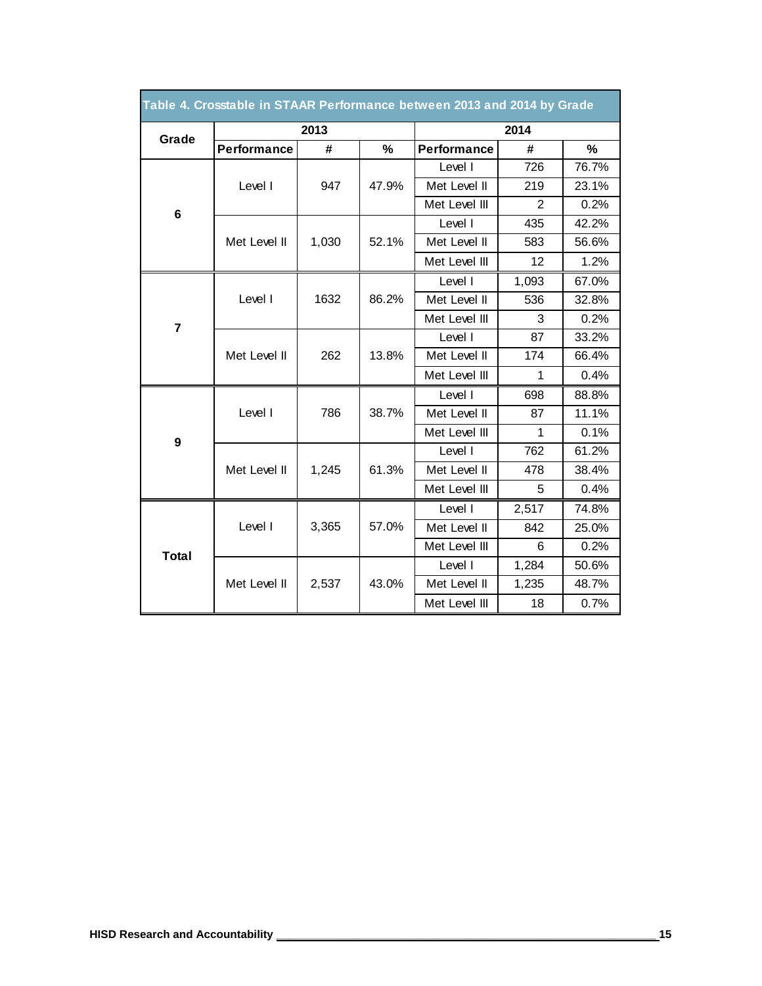| Table 4. Crosstable in STAAR Performance between 2013 and 2014 by Grade |                    |       |       |                    |       |       |
|-------------------------------------------------------------------------|--------------------|-------|-------|--------------------|-------|-------|
| Grade                                                                   |                    | 2013  |       | 2014               |       |       |
|                                                                         | <b>Performance</b> | #     | %     | <b>Performance</b> | #     | %     |
|                                                                         |                    |       |       | Level I            | 726   | 76.7% |
|                                                                         | Level I            | 947   | 47.9% | Met Level II       | 219   | 23.1% |
| 6                                                                       |                    |       |       | Met Level III      | 2     | 0.2%  |
|                                                                         |                    |       |       | Level I            | 435   | 42.2% |
|                                                                         | Met Level II       | 1,030 | 52.1% | Met Level II       | 583   | 56.6% |
|                                                                         |                    |       |       | Met Level III      | 12    | 1.2%  |
|                                                                         |                    |       |       | Level I            | 1,093 | 67.0% |
|                                                                         | Level I            | 1632  | 86.2% | Met Level II       | 536   | 32.8% |
| $\overline{\mathbf{7}}$                                                 |                    |       |       | Met Level III      | 3     | 0.2%  |
|                                                                         | Met Level II       | 262   | 13.8% | Level I            | 87    | 33.2% |
|                                                                         |                    |       |       | Met Level II       | 174   | 66.4% |
|                                                                         |                    |       |       | Met Level III      | 1     | 0.4%  |
|                                                                         | Level I            | 786   | 38.7% | Level I            | 698   | 88.8% |
|                                                                         |                    |       |       | Met Level II       | 87    | 11.1% |
|                                                                         |                    |       |       | Met Level III      | 1     | 0.1%  |
| 9                                                                       |                    | 1,245 | 61.3% | Level I            | 762   | 61.2% |
|                                                                         | Met Level II       |       |       | Met Level II       | 478   | 38.4% |
|                                                                         |                    |       |       | Met Level III      | 5     | 0.4%  |
|                                                                         |                    |       |       | Level I            | 2,517 | 74.8% |
|                                                                         | Level I            | 3,365 | 57.0% | Met Level II       | 842   | 25.0% |
|                                                                         |                    |       |       | Met Level III      | 6     | 0.2%  |
| <b>Total</b>                                                            |                    |       |       | Level I            | 1,284 | 50.6% |
|                                                                         | Met Level II       | 2,537 | 43.0% | Met Level II       | 1,235 | 48.7% |
|                                                                         |                    |       |       | Met Level III      | 18    | 0.7%  |